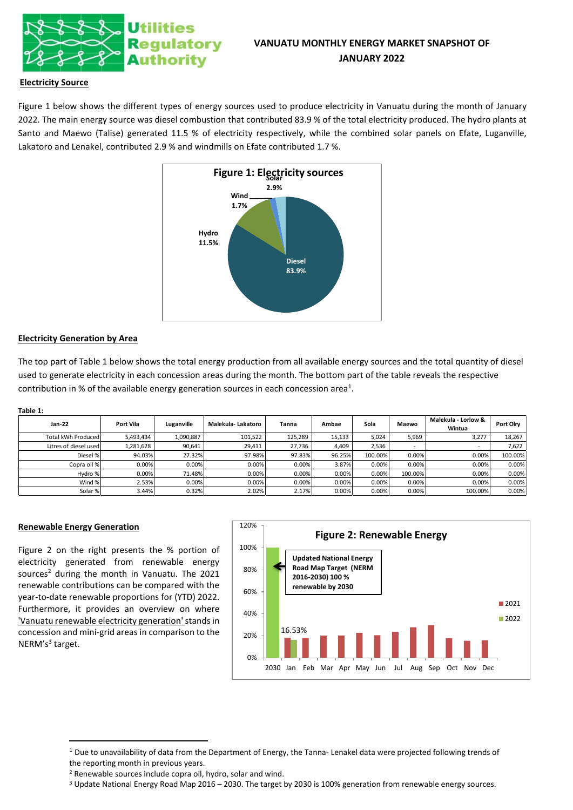

# **VANUATU MONTHLY ENERGY MARKET SNAPSHOT OF JANUARY 2022**

## **Electricity Source**

Figure 1 below shows the different types of energy sources used to produce electricity in Vanuatu during the month of January 2022. The main energy source was diesel combustion that contributed 83.9 % of the total electricity produced. The hydro plants at Santo and Maewo (Talise) generated 11.5 % of electricity respectively, while the combined solar panels on Efate, Luganville, Lakatoro and Lenakel, contributed 2.9 % and windmills on Efate contributed 1.7 %.



## **Electricity Generation by Area**

The top part of Table 1 below shows the total energy production from all available energy sources and the total quantity of diesel used to generate electricity in each concession areas during the month. The bottom part of the table reveals the respective contribution in % of the available energy generation sources in each concession area<sup>1</sup>.

#### **Table 1:**

| Jan-22                | Port Vila | Luganville | Malekula- Lakatoro | Tanna   | Ambae  | Sola    | Maewo   | Malekula - Lorlow &<br>Wintua | Port Olry |
|-----------------------|-----------|------------|--------------------|---------|--------|---------|---------|-------------------------------|-----------|
| Total kWh Produced    | 5,493,434 | 1,090,887  | 101,522            | 125,289 | 15.133 | 5.024   | 5,969   | 3,277                         | 18,267    |
| Litres of diesel used | 1,281,628 | 90,641     | 29.411             | 27,736  | 4,409  | 2,536   |         |                               | 7,622     |
| Diesel %              | 94.03%    | 27.32%     | 97.98%             | 97.83%  | 96.25% | 100.00% | 0.00%   | 0.00%                         | 100.00%   |
| Copra oil %           | 0.00%     | 0.00%      | 0.00%              | 0.00%   | 3.87%  | 0.00%   | 0.00%   | 0.00%                         | 0.00%     |
| Hydro %               | 0.00%     | 71.48%     | 0.00%              | 0.00%   | 0.00%  | 0.00%   | 100.00% | 0.00%                         | 0.00%     |
| Wind %                | 2.53%     | 0.00%      | 0.00%              | 0.00%   | 0.00%  | 0.00%   | 0.00%   | 0.00%                         | 0.00%     |
| Solar %               | 3.44%     | 0.32%      | 2.02%              | 2.17%   | 0.00%  | 0.00%   | 0.00%   | 100.00%                       | 0.00%     |

### **Renewable Energy Generation**

Figure 2 on the right presents the % portion of electricity generated from renewable energy sources<sup>2</sup> during the month in Vanuatu. The 2021 renewable contributions can be compared with the year-to-date renewable proportions for (YTD) 2022. Furthermore, it provides an overview on where 'Vanuatu renewable electricity generation'stands in concession and mini-grid areas in comparison to the NERM's<sup>3</sup> target.



 $1$  Due to unavailability of data from the Department of Energy, the Tanna-Lenakel data were projected following trends of the reporting month in previous years.

<sup>2</sup> Renewable sources include copra oil, hydro, solar and wind.

<sup>3</sup> Update National Energy Road Map 2016 – 2030. The target by 2030 is 100% generation from renewable energy sources.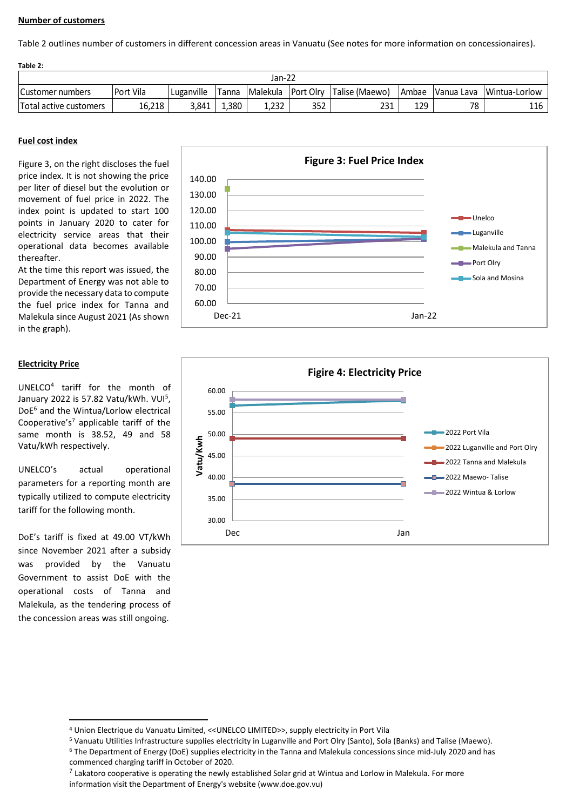## **Number of customers**

Table 2 outlines number of customers in different concession areas in Vanuatu (See notes for more information on concessionaires).

| Table 2:               |           |            |        |                    |     |                |              |    |                          |  |
|------------------------|-----------|------------|--------|--------------------|-----|----------------|--------------|----|--------------------------|--|
| Jan-22                 |           |            |        |                    |     |                |              |    |                          |  |
| Customer numbers       | Port Vila | Luganville | 'Tanna | Malekula Port Olry |     | Talise (Maewo) | <b>Ambae</b> |    | Vanua Lava Wintua-Lorlow |  |
| Total active customers | 16,218    | 3.841      | 1,380  | 1,232              | 352 | 231            | 129          | 78 | 116                      |  |

## **Fuel cost index**

Figure 3, on the right discloses the fuel price index. It is not showing the price per liter of diesel but the evolution or movement of fuel price in 2022. The index point is updated to start 100 points in January 2020 to cater for electricity service areas that their operational data becomes available thereafter.

At the time this report was issued, the Department of Energy was not able to provide the necessary data to compute the fuel price index for Tanna and Malekula since August 2021 (As shown in the graph).

## **Electricity Price**

UNELCO<sup>4</sup> tariff for the month of January 2022 is 57.82 Vatu/kWh. VUI<sup>5</sup>, DoE<sup>6</sup> and the Wintua/Lorlow electrical Cooperative's<sup>7</sup> applicable tariff of the same month is 38.52, 49 and 58 Vatu/kWh respectively.

UNELCO's actual operational parameters for a reporting month are typically utilized to compute electricity tariff for the following month.

DoE's tariff is fixed at 49.00 VT/kWh since November 2021 after a subsidy was provided by the Vanuatu Government to assist DoE with the operational costs of Tanna and Malekula, as the tendering process of the concession areas was still ongoing.





<sup>4</sup> Union Electrique du Vanuatu Limited, <<UNELCO LIMITED>>, supply electricity in Port Vila

<sup>5</sup> Vanuatu Utilities Infrastructure supplies electricity in Luganville and Port Olry (Santo), Sola (Banks) and Talise (Maewo).

<sup>6</sup> The Department of Energy (DoE) supplies electricity in the Tanna and Malekula concessions since mid-July 2020 and has commenced charging tariff in October of 2020.

 $^7$  Lakatoro cooperative is operating the newly established Solar grid at Wintua and Lorlow in Malekula. For more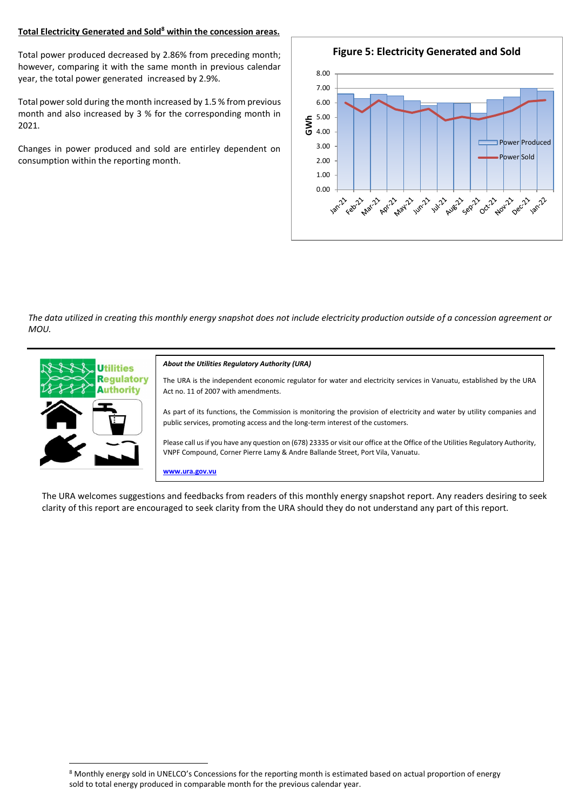## **Total Electricity Generated and Sold<sup>8</sup> within the concession areas.**

Total power produced decreased by 2.86% from preceding month; however, comparing it with the same month in previous calendar year, the total power generated increased by 2.9%.

Total power sold during the month increased by 1.5 % from previous month and also increased by 3 % for the corresponding month in 2021.

Changes in power produced and sold are entirley dependent on consumption within the reporting month.



*The data utilized in creating this monthly energy snapshot does not include electricity production outside of a concession agreement or MOU.*



The URA welcomes suggestions and feedbacks from readers of this monthly energy snapshot report. Any readers desiring to seek clarity of this report are encouraged to seek clarity from the URA should they do not understand any part of this report.

<sup>8</sup> Monthly energy sold in UNELCO's Concessions for the reporting month is estimated based on actual proportion of energy sold to total energy produced in comparable month for the previous calendar year.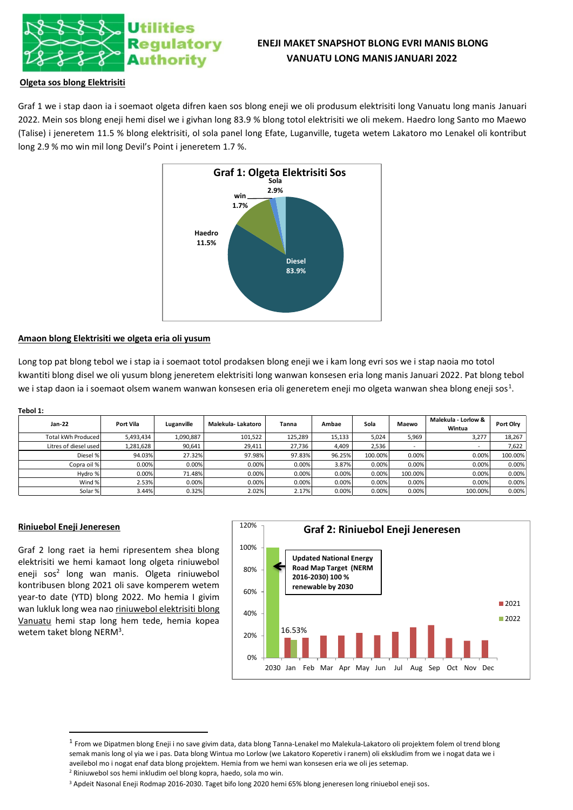

# **ENEJI MAKET SNAPSHOT BLONG EVRI MANIS BLONG VANUATU LONG MANIS JANUARI 2022**

## **Olgeta sos blong Elektrisiti**

Graf 1 we i stap daon ia i soemaot olgeta difren kaen sos blong eneji we oli produsum elektrisiti long Vanuatu long manis Januari 2022. Mein sos blong eneji hemi disel we i givhan long 83.9 % blong totol elektrisiti we oli mekem. Haedro long Santo mo Maewo (Talise) i jeneretem 11.5 % blong elektrisiti, ol sola panel long Efate, Luganville, tugeta wetem Lakatoro mo Lenakel oli kontribut long 2.9 % mo win mil long Devil's Point i jeneretem 1.7 %.



### **Amaon blong Elektrisiti we olgeta eria oli yusum**

Long top pat blong tebol we i stap ia i soemaot totol prodaksen blong eneji we i kam long evri sos we i stap naoia mo totol kwantiti blong disel we oli yusum blong jeneretem elektrisiti long wanwan konsesen eria long manis Januari 2022. Pat blong tebol we i stap daon ia i soemaot olsem wanem wanwan konsesen eria oli generetem eneji mo olgeta wanwan shea blong eneji sos<sup>1</sup>.

| Tebol 1:              |           |            |                    |                                           |        |                     |           |         |         |  |  |
|-----------------------|-----------|------------|--------------------|-------------------------------------------|--------|---------------------|-----------|---------|---------|--|--|
| Jan-22                | Port Vila | Luganville | Malekula- Lakatoro | Sola<br>Ambae<br>Maewo<br>Tanna<br>Wintua |        | Malekula - Lorlow & | Port Olry |         |         |  |  |
| Total kWh Produced    | 5,493,434 | 1,090,887  | 101,522            | 125,289                                   | 15,133 | 5,024               | 5,969     | 3,277   | 18,267  |  |  |
| Litres of diesel used | 1,281,628 | 90,641     | 29,411             | 27,736                                    | 4,409  | 2,536               | -         |         | 7,622   |  |  |
| Diesel %              | 94.03%    | 27.32%     | 97.98%             | 97.83%                                    | 96.25% | 100.00%             | 0.00%     | 0.00%   | 100.00% |  |  |
| Copra oil %           | 0.00%     | 0.00%      | 0.00%              | 0.00%                                     | 3.87%  | 0.00%               | 0.00%     | 0.00%   | 0.00%   |  |  |
| Hydro %               | 0.00%     | 71.48%     | 0.00%              | 0.00%                                     | 0.00%  | 0.00%               | 100.00%   | 0.00%   | 0.00%   |  |  |
| Wind %                | 2.53%     | 0.00%      | 0.00%              | 0.00%                                     | 0.00%  | 0.00%               | 0.00%     | 0.00%   | 0.00%   |  |  |
| Solar %               | 3.44%     | 0.32%      | 2.02%              | 2.17%                                     | 0.00%  | 0.00%               | 0.00%     | 100.00% | 0.00%   |  |  |

## **Riniuebol Eneji Jeneresen**

Graf 2 long raet ia hemi ripresentem shea blong elektrisiti we hemi kamaot long olgeta riniuwebol eneji sos<sup>2</sup> long wan manis. Olgeta riniuwebol kontribusen blong 2021 oli save komperem wetem year-to date (YTD) blong 2022. Mo hemia I givim wan lukluk long wea nao riniuwebol elektrisiti blong Vanuatu hemi stap long hem tede, hemia kopea wetem taket blong NERM<sup>3</sup>.



<sup>&</sup>lt;sup>1</sup> From we Dipatmen blong Eneji i no save givim data, data blong Tanna-Lenakel mo Malekula-Lakatoro oli projektem folem ol trend blong semak manis long ol yia we i pas. Data blong Wintua mo Lorlow (we Lakatoro Koperetiv i ranem) oli ekskludim from we i nogat data we i aveilebol mo i nogat enaf data blong projektem. Hemia from we hemi wan konsesen eria we oli jes setemap. <sup>2</sup> Riniuwebol sos hemi inkludim oel blong kopra, haedo, sola mo win.

<sup>3</sup> Apdeit Nasonal Eneji Rodmap 2016-2030. Taget bifo long 2020 hemi 65% blong jeneresen long riniuebol eneji sos.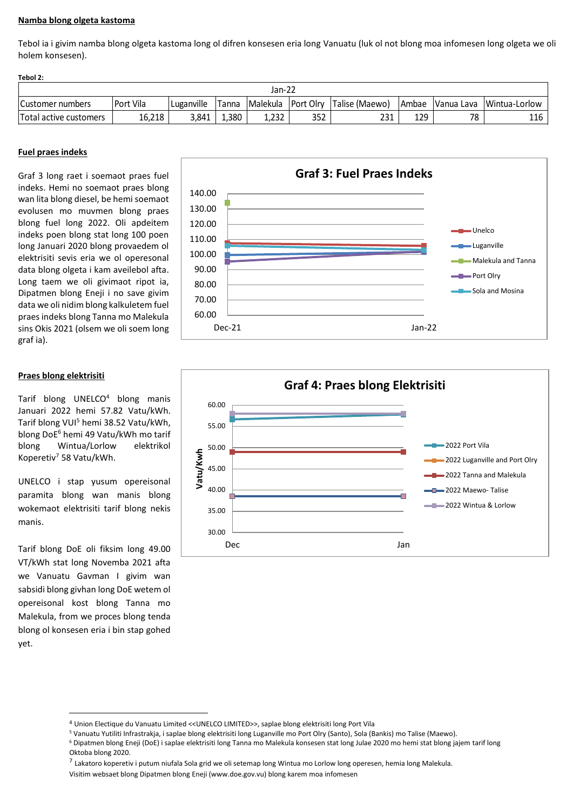## **Namba blong olgeta kastoma**

Tebol ia i givim namba blong olgeta kastoma long ol difren konsesen eria long Vanuatu (luk ol not blong moa infomesen long olgeta we oli holem konsesen).

| 15991 Z.               |           |            |               |          |                  |                |         |            |                 |
|------------------------|-----------|------------|---------------|----------|------------------|----------------|---------|------------|-----------------|
| Jan-22                 |           |            |               |          |                  |                |         |            |                 |
| Customer numbers       | Port Vila | Luganville | <b>ITanna</b> | Malekula | <b>Port Olry</b> | Talise (Maewo) | I Ambae | Vanua Lava | I Wintua-Lorlow |
| Total active customers | 16,218    | 3,841      | 1,380         | 1.232    | 352              | 231            | 129     | 78         | 116             |

## **Fuel praes indeks**

**Tebol 2:**

Graf 3 long raet i soemaot praes fuel indeks. Hemi no soemaot praes blong wan lita blong diesel, be hemi soemaot evolusen mo muvmen blong praes blong fuel long 2022. Oli apdeitem indeks poen blong stat long 100 poen long Januari 2020 blong provaedem ol elektrisiti sevis eria we ol operesonal data blong olgeta i kam aveilebol afta. Long taem we oli givimaot ripot ia, Dipatmen blong Eneji i no save givim data we oli nidim blong kalkuletem fuel praes indeks blong Tanna mo Malekula sins Okis 2021 (olsem we oli soem long graf ia).

## **Praes blong elektrisiti**

Tarif blong UNELCO<sup>4</sup> blong manis Januari 2022 hemi 57.82 Vatu/kWh. Tarif blong VUI<sup>5</sup> hemi 38.52 Vatu/kWh, blong DoE<sup>6</sup> hemi 49 Vatu/kWh mo tarif blong Wintua/Lorlow elektrikol Koperetiv<sup>7</sup> 58 Vatu/kWh.

UNELCO i stap yusum opereisonal paramita blong wan manis blong wokemaot elektrisiti tarif blong nekis manis.

Tarif blong DoE oli fiksim long 49.00 VT/kWh stat long Novemba 2021 afta we Vanuatu Gavman I givim wan sabsidi blong givhan long DoE wetem ol opereisonal kost blong Tanna mo Malekula, from we proces blong tenda blong ol konsesen eria i bin stap gohed yet.





<sup>4</sup> Union Electique du Vanuatu Limited <<UNELCO LIMITED>>, saplae blong elektrisiti long Port Vila

<sup>7</sup> Lakatoro koperetiv i putum niufala Sola grid we oli setemap long Wintua mo Lorlow long operesen, hemia long Malekula.

<sup>5</sup> Vanuatu Yutiliti Infrastrakja, i saplae blong elektrisiti long Luganville mo Port Olry (Santo), Sola (Bankis) mo Talise (Maewo).

<sup>6</sup> Dipatmen blong Eneji (DoE) i saplae elektrisiti long Tanna mo Malekula konsesen stat long Julae 2020 mo hemi stat blong jajem tarif long Oktoba blong 2020.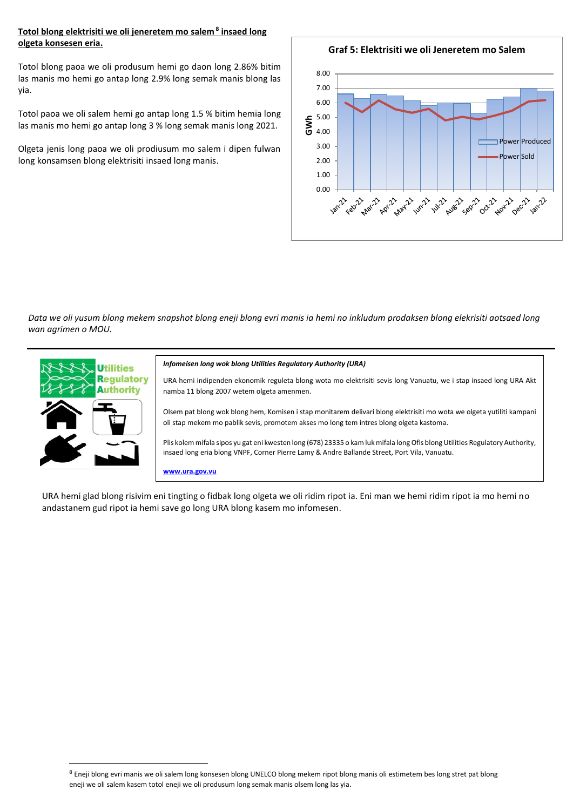## **Totol blong elektrisiti we oli jeneretem mo salem <sup>8</sup> insaed long olgeta konsesen eria.**

Totol blong paoa we oli produsum hemi go daon long 2.86% bitim las manis mo hemi go antap long 2.9% long semak manis blong las yia.

Totol paoa we oli salem hemi go antap long 1.5 % bitim hemia long las manis mo hemi go antap long 3 % long semak manis long 2021.

Olgeta jenis long paoa we oli prodiusum mo salem i dipen fulwan long konsamsen blong elektrisiti insaed long manis.

**Graf 5: Elektrisiti we oli Jeneretem mo Salem**



*Data we oli yusum blong mekem snapshot blong eneji blong evri manis ia hemi no inkludum prodaksen blong elekrisiti aotsaed long wan agrimen o MOU.*



#### *Infomeisen long wok blong Utilities Regulatory Authority (URA)*

URA hemi indipenden ekonomik reguleta blong wota mo elektrisiti sevis long Vanuatu, we i stap insaed long URA Akt namba 11 blong 2007 wetem olgeta amenmen.

Olsem pat blong wok blong hem, Komisen i stap monitarem delivari blong elektrisiti mo wota we olgeta yutiliti kampani oli stap mekem mo pablik sevis, promotem akses mo long tem intres blong olgeta kastoma.

Plis kolem mifala sipos yu gat eni kwesten long (678) 23335 o kam luk mifala long Ofis blong Utilities Regulatory Authority, insaed long eria blong VNPF, Corner Pierre Lamy & Andre Ballande Street, Port Vila, Vanuatu.

**www.ura.gov.vu**

URA hemi glad blong risivim eni tingting o fidbak long olgeta we oli ridim ripot ia. Eni man we hemi ridim ripot ia mo hemi no andastanem gud ripot ia hemi save go long URA blong kasem mo infomesen.

<sup>8</sup> Eneji blong evri manis we oli salem long konsesen blong UNELCO blong mekem ripot blong manis oli estimetem bes long stret pat blong eneji we oli salem kasem totol eneji we oli produsum long semak manis olsem long las yia.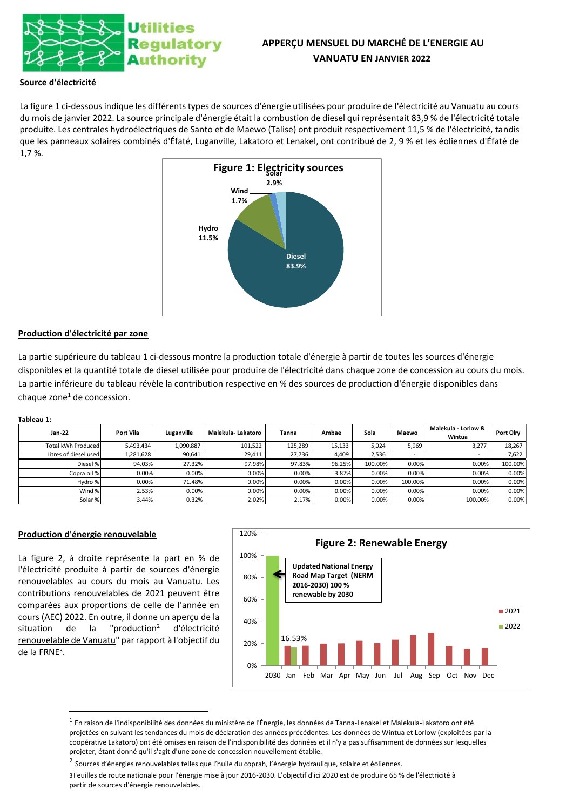

# **APPERÇU MENSUEL DU MARCHÉ DE L'ENERGIE AU VANUATU EN JANVIER 2022**

## **Source d'électricité**

La figure 1 ci-dessous indique les différents types de sources d'énergie utilisées pour produire de l'électricité au Vanuatu au cours du mois de janvier 2022. La source principale d'énergie était la combustion de diesel qui représentait 83,9 % de l'électricité totale produite. Les centrales hydroélectriques de Santo et de Maewo (Talise) ont produit respectivement 11,5 % de l'électricité, tandis que les panneaux solaires combinés d'Éfaté, Luganville, Lakatoro et Lenakel, ont contribué de 2, 9 % et les éoliennes d'Éfaté de 1,7 %.



### **Production d'électricité par zone**

La partie supérieure du tableau 1 ci-dessous montre la production totale d'énergie à partir de toutes les sources d'énergie disponibles et la quantité totale de diesel utilisée pour produire de l'électricité dans chaque zone de concession au cours du mois. La partie inférieure du tableau révèle la contribution respective en % des sources de production d'énergie disponibles dans  $chaque zone<sup>1</sup> de concession.$ 

### **Tableau 1:**

| Jan-22                | Port Vila | Luganville | Malekula- Lakatoro | Tanna   | Ambae  | Sola    | Maewo   | Malekula - Lorlow &<br>Wintua | Port Olry |
|-----------------------|-----------|------------|--------------------|---------|--------|---------|---------|-------------------------------|-----------|
| Total kWh Produced    | 5,493,434 | 1,090,887  | 101,522            | 125,289 | 15,133 | 5,024   | 5,969   | 3,277                         | 18,267    |
| Litres of diesel used | 1,281,628 | 90,641     | 29,411             | 27,736  | 4,409  | 2,536   | $\sim$  |                               | 7,622     |
| Diesel %              | 94.03%    | 27.32%     | 97.98%             | 97.83%  | 96.25% | 100.00% | 0.00%   | 0.00%                         | 100.00%   |
| Copra oil %           | 0.00%     | 0.00%      | 0.00%              | 0.00%   | 3.87%  | 0.00%   | 0.00%   | 0.00%                         | 0.00%     |
| Hydro %               | 0.00%     | 71.48%     | 0.00%              | 0.00%   | 0.00%  | 0.00%   | 100.00% | 0.00%                         | 0.00%     |
| Wind %                | 2.53%     | 0.00%      | 0.00%              | 0.00%   | 0.00%  | 0.00%   | 0.00%   | 0.00%                         | 0.00%     |
| Solar %               | 3.44%     | 0.32%      | 2.02%              | 2.17%   | 0.00%  | 0.00%   | 0.00%   | 100.00%                       | 0.00%     |

### **Production d'énergie renouvelable**

La figure 2, à droite représente la part en % de l'électricité produite à partir de sources d'énergie renouvelables au cours du mois au Vanuatu. Les contributions renouvelables de 2021 peuvent être comparées aux proportions de celle de l'année en cours (AEC) 2022. En outre, il donne un aperçu de la situation de la "production<sup>2</sup> d'électricité renouvelable de Vanuatu" par rapport à l'objectif du de la FRNE<sup>3</sup> .



 $^{\rm 1}$  En raison de l'indisponibilité des données du ministère de l'Énergie, les données de Tanna-Lenakel et Malekula-Lakatoro ont été projetées en suivant les tendances du mois de déclaration des années précédentes. Les données de Wintua et Lorlow (exploitées par la coopérative Lakatoro) ont été omises en raison de l'indisponibilité des données et il n'y a pas suffisamment de données sur lesquelles projeter, étant donné qu'il s'agit d'une zone de concession nouvellement établie.

<sup>&</sup>lt;sup>2</sup> Sources d'énergies renouvelables telles que l'huile du coprah, l'énergie hydraulique, solaire et éoliennes.

<sup>3</sup>Feuilles de route nationale pour l'énergie mise à jour 2016-2030. L'objectif d'ici 2020 est de produire 65 % de l'électricité à partir de sources d'énergie renouvelables.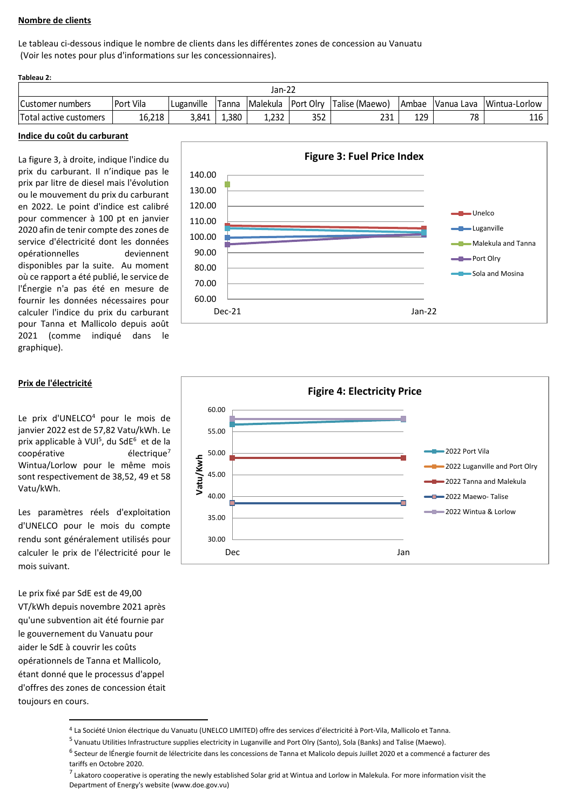## **Nombre de clients**

Le tableau ci-dessous indique le nombre de clients dans les différentes zones de concession au Vanuatu (Voir les notes pour plus d'informations sur les concessionnaires).

| Tableau 2:             |           |            |              |       |     |                                       |     |    |                                |
|------------------------|-----------|------------|--------------|-------|-----|---------------------------------------|-----|----|--------------------------------|
| Jan-22                 |           |            |              |       |     |                                       |     |    |                                |
| Customer numbers       | Port Vila | Luganville | <b>Tanna</b> |       |     | Malekula   Port Olry   Talise (Maewo) |     |    | Ambae Vanua Lava Wintua-Lorlow |
| Total active customers | 16.218    | 3.841      | 380          | 1.232 | 352 | 231                                   | 129 | 78 | 116                            |

### **Indice du coût du carburant**

La figure 3, à droite, indique l'indice du prix du carburant. Il n'indique pas le prix par litre de diesel mais l'évolution ou le mouvement du prix du carburant en 2022. Le point d'indice est calibré pour commencer à 100 pt en janvier 2020 afin de tenir compte des zones de service d'électricité dont les données opérationnelles deviennent disponibles par la suite. Au moment où ce rapport a été publié, le service de l'Énergie n'a pas été en mesure de fournir les données nécessaires pour calculer l'indice du prix du carburant pour Tanna et Mallicolo depuis août 2021 (comme indiqué dans le graphique).



### **Prix de l'électricité**

Le prix d'UNELCO<sup>4</sup> pour le mois de janvier 2022 est de 57,82 Vatu/kWh. Le prix applicable à VUI<sup>5</sup>, du SdE<sup>6</sup> et de la coopérative électrique<sup>7</sup> Wintua/Lorlow pour le même mois sont respectivement de 38,52, 49 et 58 Vatu/kWh.

Les paramètres réels d'exploitation d'UNELCO pour le mois du compte rendu sont généralement utilisés pour calculer le prix de l'électricité pour le mois suivant.

Le prix fixé par SdE est de 49,00 VT/kWh depuis novembre 2021 après qu'une subvention ait été fournie par le gouvernement du Vanuatu pour aider le SdE à couvrir les coûts opérationnels de Tanna et Mallicolo, étant donné que le processus d'appel d'offres des zones de concession était toujours en cours.



<sup>4</sup> La Société Union électrique du Vanuatu (UNELCO LIMITED) offre des services d'électricité à Port-Vila, Mallicolo et Tanna.

<sup>&</sup>lt;sup>5</sup> Vanuatu Utilities Infrastructure supplies electricity in Luganville and Port Olry (Santo), Sola (Banks) and Talise (Maewo).

<sup>&</sup>lt;sup>6</sup> Secteur de lÉnergie fournit de lélectricite dans les concessions de Tanna et Malicolo depuis Juillet 2020 et a commencé a facturer des tariffs en Octobre 2020.

<sup>&</sup>lt;sup>7</sup> Lakatoro cooperative is operating the newly established Solar grid at Wintua and Lorlow in Malekula. For more information visit the Department of Energy's website (www.doe.gov.vu)